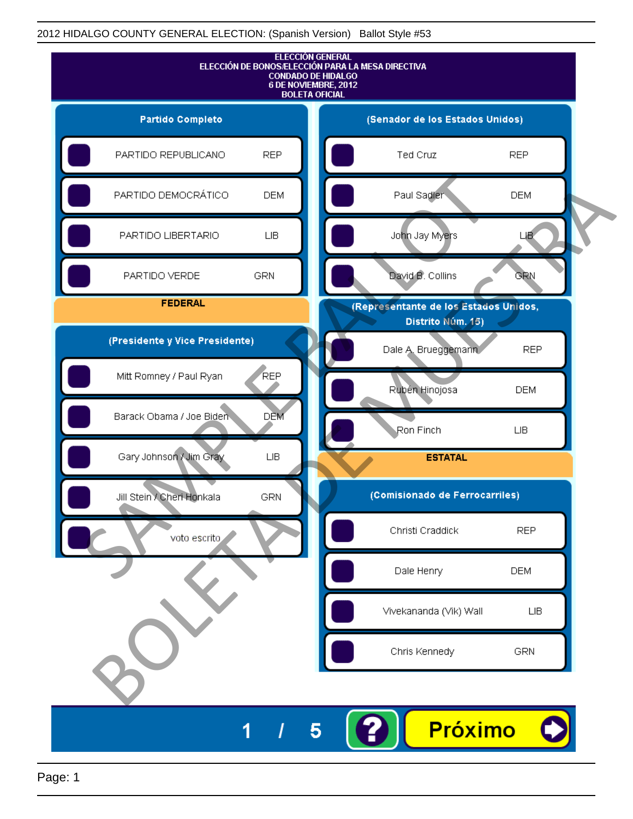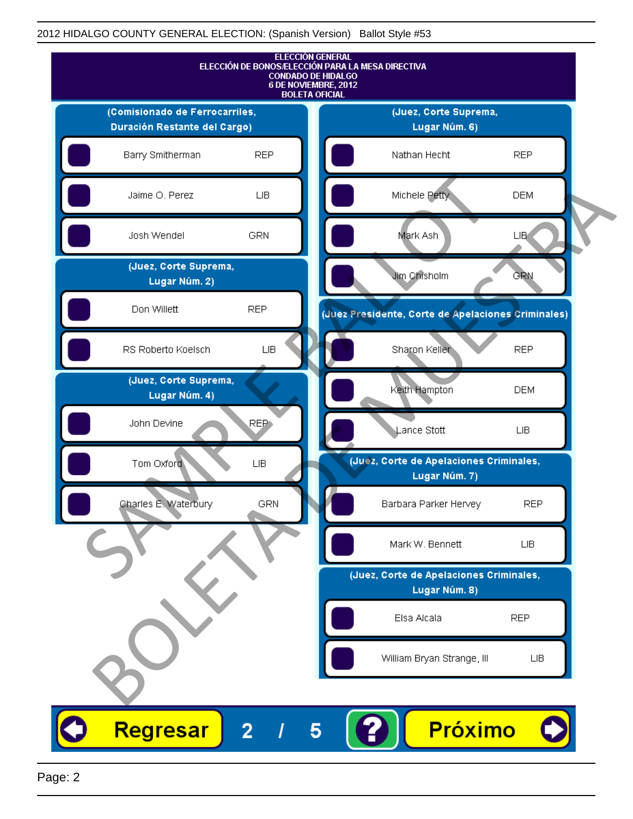

Page: 2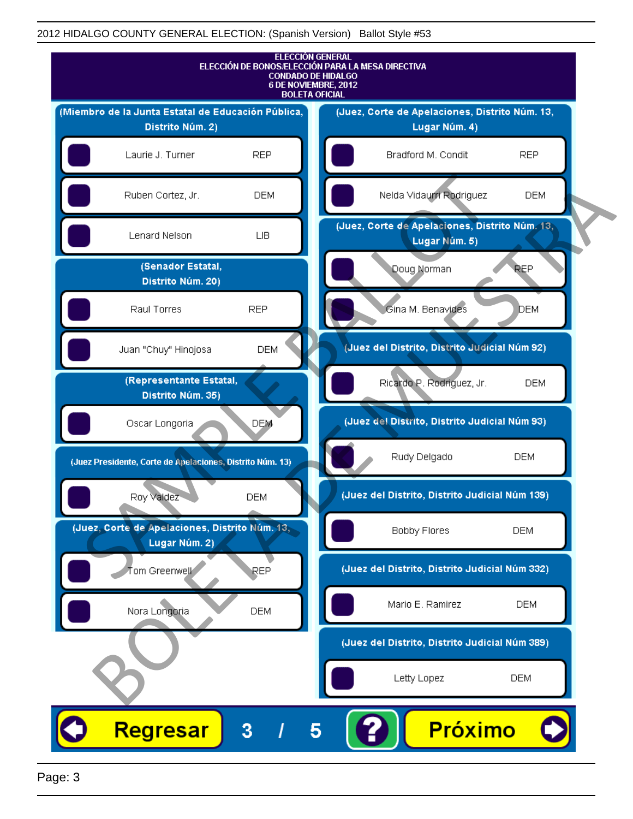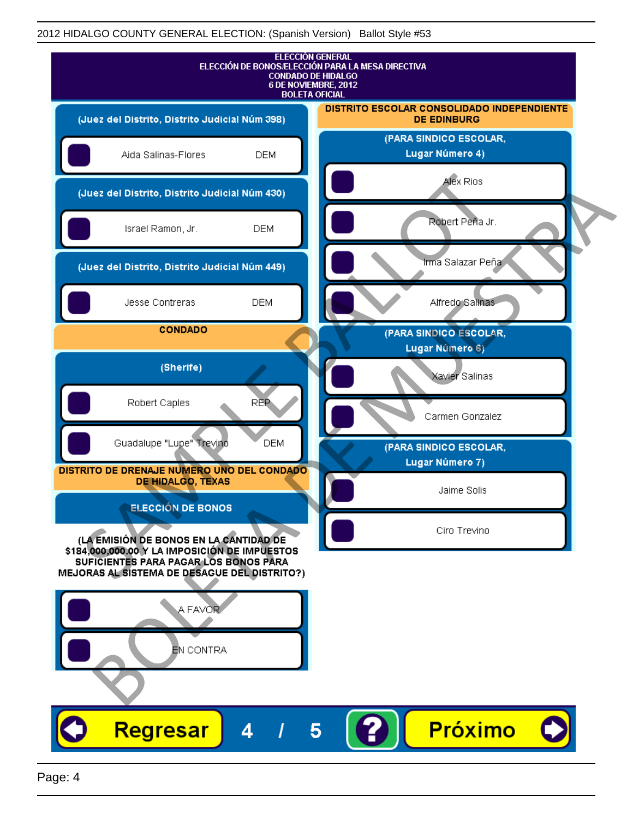| <b>ELECCIÓN GENERAL</b><br>ELECCIÓN DE BONOS/ELECCIÓN PARA LA MESA DIRECTIVA<br><b>CONDADO DE HIDALGO</b><br>6 DE NOVIEMBRE, 2012<br><b>BOLETA OFICIAL</b>                       |                                                                  |
|----------------------------------------------------------------------------------------------------------------------------------------------------------------------------------|------------------------------------------------------------------|
| (Juez del Distrito, Distrito Judicial Núm 398)                                                                                                                                   | DISTRITO ESCOLAR CONSOLIDADO INDEPENDIENTE<br><b>DE EDINBURG</b> |
| Aida Salinas-Flores<br><b>DEM</b>                                                                                                                                                | (PARA SINDICO ESCOLAR,<br>Lugar Número 4)                        |
| (Juez del Distrito, Distrito Judicial Núm 430)                                                                                                                                   | Alex Rios                                                        |
| Israel Ramon, Jr.<br><b>DEM</b>                                                                                                                                                  | Robert Peña Jr.                                                  |
| (Juez del Distrito, Distrito Judicial Núm 449)                                                                                                                                   | Irma Salazar Peña                                                |
| Jesse Contreras<br><b>DEM</b>                                                                                                                                                    | Alfredo Salinas                                                  |
| <b>CONDADO</b>                                                                                                                                                                   | (PARA SINDICO ESCOLAR,<br>Lugar Número 6)                        |
| (Sherife)                                                                                                                                                                        | Xavier Salinas                                                   |
| REP<br>Robert Caples                                                                                                                                                             | Carmen Gonzalez                                                  |
| Guadalupe "Lupe" Trevino<br><b>DEM</b>                                                                                                                                           | (PARA SINDICO ESCOLAR,                                           |
| DISTRITO DE DRENAJE NUMERO UNO DEL CONDADO<br><b>DE HIDALGO, TEXAS</b>                                                                                                           | Lugar Número 7)<br>Jaime Solis                                   |
| <b>ELECCIÓN DE BONOS</b>                                                                                                                                                         | Ciro Trevino                                                     |
| (LA EMISIÓN DE BONOS EN LA CANTIDAD DE<br>\$184,000,000.00 Y LA IMPOSICIÓN DE IMPUESTOS<br>SUFICIENTES PARA PAGAR LOS BONOS PARA<br>MEJORAS AL SISTEMA DE DESAGUE DEL DISTRITO?) |                                                                  |
| A FAVOR                                                                                                                                                                          |                                                                  |
|                                                                                                                                                                                  |                                                                  |
| EN CONTRA                                                                                                                                                                        |                                                                  |
|                                                                                                                                                                                  |                                                                  |
| Regresar<br>4                                                                                                                                                                    | <b>Próximo</b>                                                   |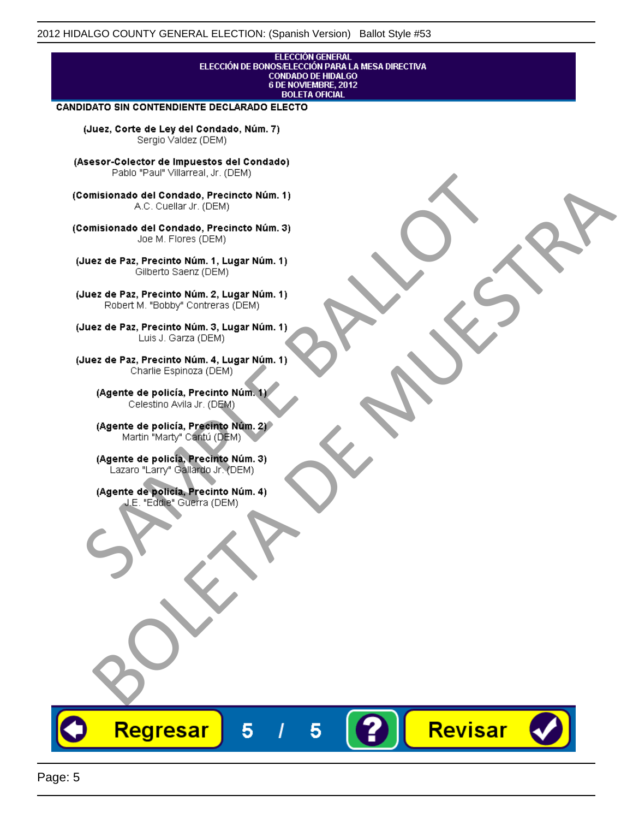#### **ELECCIÓN GENERAL** ELECCIÓN DE BONOS/ELECCIÓN PARA LA MESA DIRECTIVA CONDADO DE HIDALGO<br>6 DE NOVIEMBRE, 2012 **BOLETA OFICIAL**

Revisar

#### CANDIDATO SIN CONTENDIENTE DECLARADO ELECTO

(Juez, Corte de Ley del Condado, Núm. 7) Sergio Valdez (DEM)

(Asesor-Colector de Impuestos del Condado)

Fallo Fall Willdrea, J.I. (DEM)<br>
Consistionado el Condado, Precincto Núm. 1)<br>
A.C. Cuellar Jr. (DEM)<br>
Ullez de Paz, Precinto Núm. 1)<br>
Juez de Paz, Precinto Núm. 1, Lugar Núm. 1)<br>
Gilberto Sentr (DEM)<br>
Robert M. "Bobby" Con misionado del Condiado, Precincto Núm. 1)<br>
Andro del Condiado, Precincto Núm. 3)<br>
ez de Paz, Precinto Núm. 21<br>
algo M. Picer Lo Saerz, (CIEM)<br>
algo M. Picer Lo Saerz, (CIEM)<br>
algo M. Picer Lo Saerz, (CIEM)<br>
ez de Paz, Prec

Regresar

5

5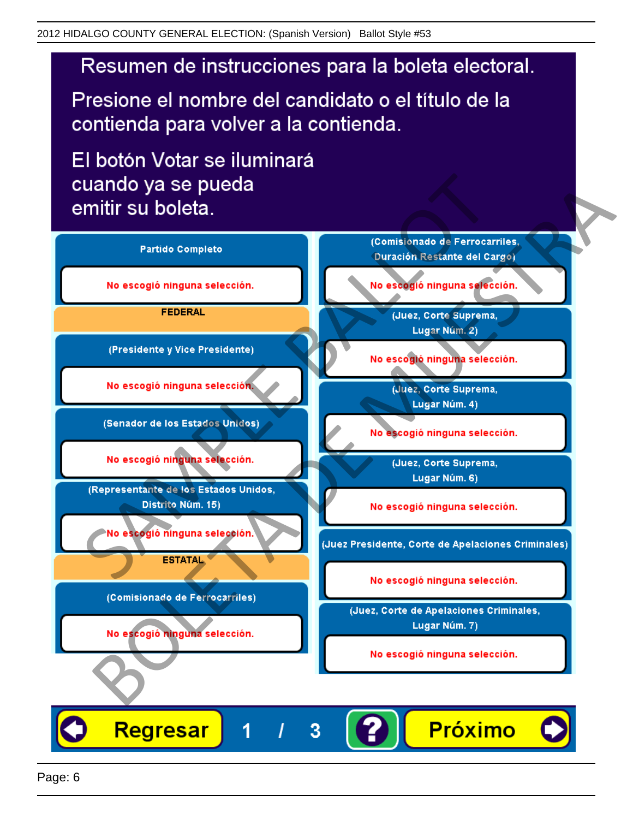# Resumen de instrucciones para la boleta electoral.

Presione el nombre del candidato o el título de la contienda para volver a la contienda.

El botón Votar se iluminará

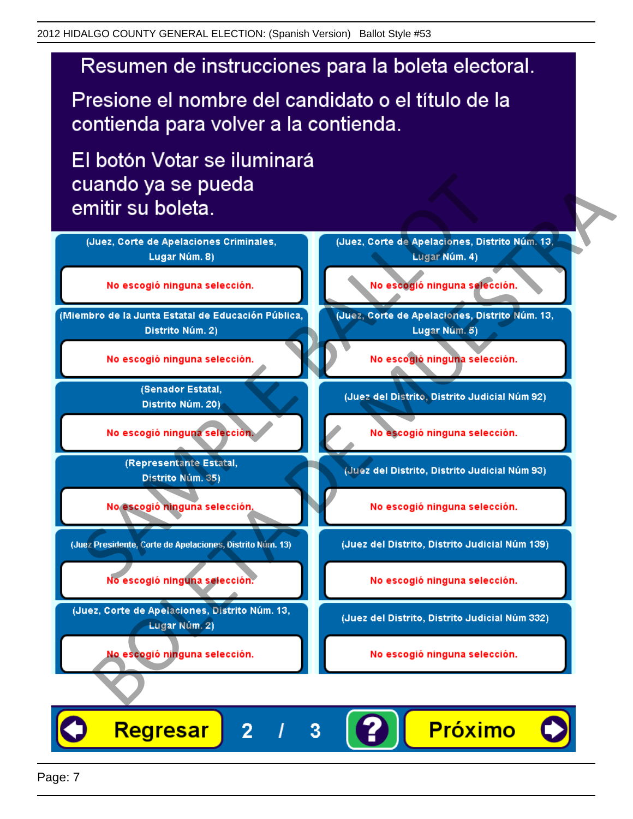# Resumen de instrucciones para la boleta electoral.

Presione el nombre del candidato o el título de la contienda para volver a la contienda.

El botón Votar se iluminará